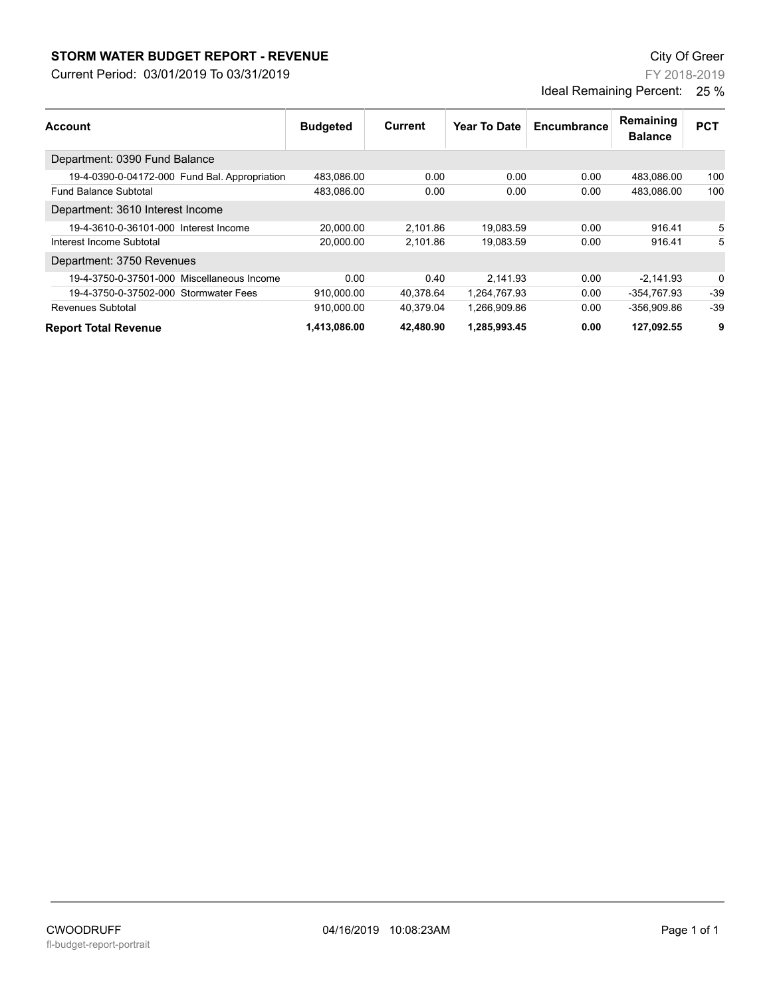## **STORM WATER BUDGET REPORT - REVENUE CONSUMPTER BUDGET REPORT - REVENUE**

Current Period: 03/01/2019 To 03/31/2019

FY 2018-2019 Ideal Remaining Percent: 25 %

| Account                                       | <b>Budgeted</b> | Current   | Year To Date | Encumbrance | Remaining<br><b>Balance</b> | <b>PCT</b> |
|-----------------------------------------------|-----------------|-----------|--------------|-------------|-----------------------------|------------|
| Department: 0390 Fund Balance                 |                 |           |              |             |                             |            |
| 19-4-0390-0-04172-000 Fund Bal. Appropriation | 483,086.00      | 0.00      | 0.00         | 0.00        | 483.086.00                  | 100        |
| <b>Fund Balance Subtotal</b>                  | 483.086.00      | 0.00      | 0.00         | 0.00        | 483.086.00                  | 100        |
| Department: 3610 Interest Income              |                 |           |              |             |                             |            |
| 19-4-3610-0-36101-000 Interest Income         | 20.000.00       | 2,101.86  | 19.083.59    | 0.00        | 916.41                      | 5          |
| Interest Income Subtotal                      | 20,000.00       | 2,101.86  | 19,083.59    | 0.00        | 916.41                      | 5          |
| Department: 3750 Revenues                     |                 |           |              |             |                             |            |
| 19-4-3750-0-37501-000 Miscellaneous Income    | 0.00            | 0.40      | 2.141.93     | 0.00        | $-2.141.93$                 | $\Omega$   |
| 19-4-3750-0-37502-000 Stormwater Fees         | 910,000.00      | 40,378.64 | 1,264,767.93 | 0.00        | -354,767.93                 | $-39$      |
| Revenues Subtotal                             | 910,000.00      | 40,379.04 | 1,266,909.86 | 0.00        | -356.909.86                 | $-39$      |
| <b>Report Total Revenue</b>                   | 1.413.086.00    | 42.480.90 | 1.285.993.45 | 0.00        | 127.092.55                  | 9          |